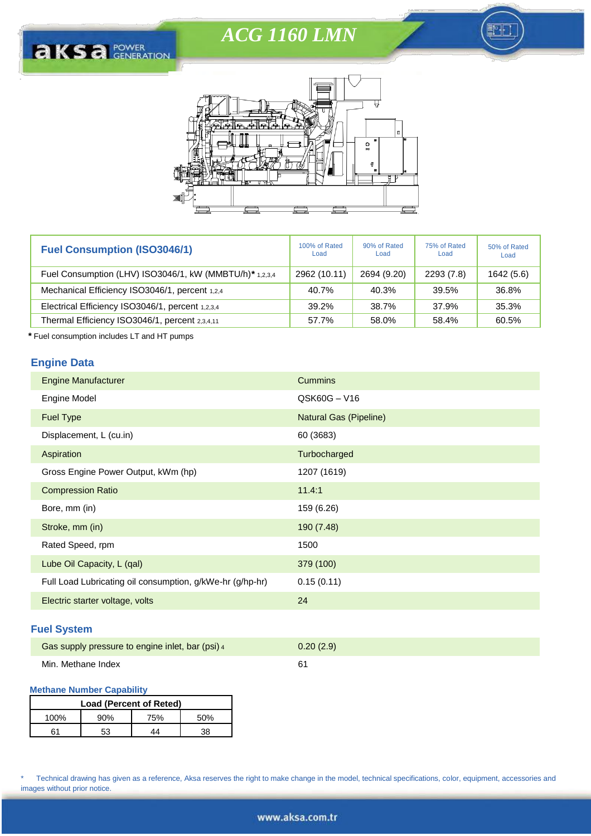# *ACG 1160 LMN*

Ħ





| <b>Fuel Consumption (ISO3046/1)</b>                      | 100% of Rated<br>Load | 90% of Rated<br>Load | 75% of Rated<br>Load | 50% of Rated<br>Load |
|----------------------------------------------------------|-----------------------|----------------------|----------------------|----------------------|
| Fuel Consumption (LHV) ISO3046/1, kW (MMBTU/h) * 1,2,3,4 | 2962 (10.11)          | 2694 (9.20)          | 2293 (7.8)           | 1642 (5.6)           |
| Mechanical Efficiency ISO3046/1, percent 1,2,4           | 40.7%                 | 40.3%                | 39.5%                | 36.8%                |
| Electrical Efficiency ISO3046/1, percent 1,2,3,4         | 39.2%                 | 38.7%                | 37.9%                | 35.3%                |
| Thermal Efficiency ISO3046/1, percent 2,3,4,11           | 57.7%                 | 58.0%                | 58.4%                | 60.5%                |

*\** Fuel consumption includes LT and HT pumps

## **Engine Data**

| <b>Engine Manufacturer</b>                                | <b>Cummins</b>                |
|-----------------------------------------------------------|-------------------------------|
| Engine Model                                              | QSK60G-V16                    |
| <b>Fuel Type</b>                                          | <b>Natural Gas (Pipeline)</b> |
| Displacement, L (cu.in)                                   | 60 (3683)                     |
| Aspiration                                                | Turbocharged                  |
| Gross Engine Power Output, kWm (hp)                       | 1207 (1619)                   |
| <b>Compression Ratio</b>                                  | 11.4:1                        |
| Bore, mm (in)                                             | 159 (6.26)                    |
| Stroke, mm (in)                                           | 190 (7.48)                    |
| Rated Speed, rpm                                          | 1500                          |
| Lube Oil Capacity, L (qal)                                | 379 (100)                     |
| Full Load Lubricating oil consumption, g/kWe-hr (g/hp-hr) | 0.15(0.11)                    |
| Electric starter voltage, volts                           | 24                            |

## **Fuel System**

| Gas supply pressure to engine inlet, bar (psi) 4 | 0.20(2.9) |
|--------------------------------------------------|-----------|
| Min. Methane Index                               |           |

## **Methane Number Capability**

| Load (Percent of Reted) |     |     |      |  |
|-------------------------|-----|-----|------|--|
| 100%                    | 90% | 75% | .50% |  |
| 61                      | 53  | 11  | 20   |  |

\* Technical drawing has given as a reference, Aksa reserves the right to make change in the model, technical specifications, color, equipment, accessories and images without prior notice.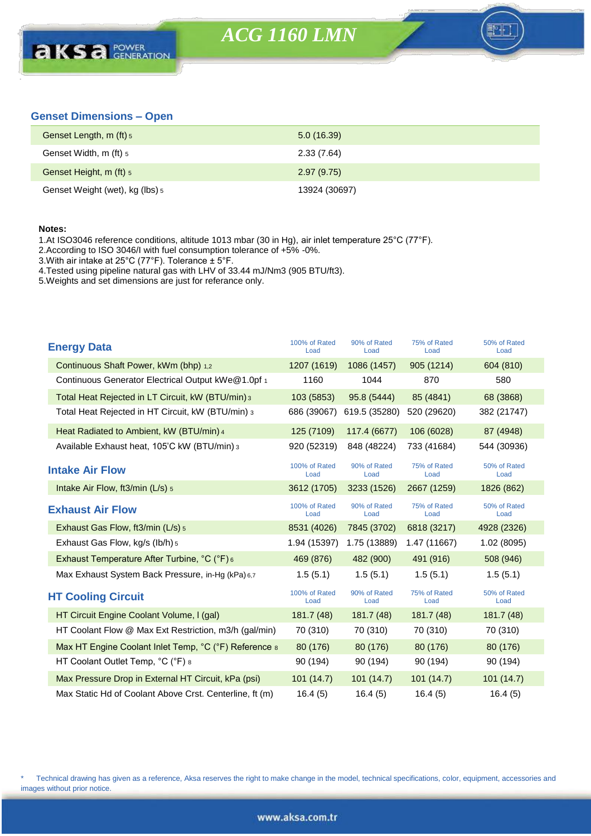## **Genset Dimensions – Open**

| Genset Length, m (ft) 5         | 5.0(16.39)    |
|---------------------------------|---------------|
| Genset Width, m (ft) 5          | 2.33(7.64)    |
| Genset Height, m (ft) 5         | 2.97(9.75)    |
| Genset Weight (wet), kg (lbs) 5 | 13924 (30697) |

#### **Notes:**

1.At ISO3046 reference conditions, altitude 1013 mbar (30 in Hg), air inlet temperature 25°C (77°F).

2.According to ISO 3046/I with fuel consumption tolerance of +5% -0%.

3.With air intake at 25°C (77°F). Tolerance ± 5°F.

4.Tested using pipeline natural gas with LHV of 33.44 mJ/Nm3 (905 BTU/ft3).

5.Weights and set dimensions are just for referance only.

| <b>Energy Data</b>                                      | 100% of Rated<br>Load | 90% of Rated<br>Load | 75% of Rated<br>Load | 50% of Rated<br>Load |
|---------------------------------------------------------|-----------------------|----------------------|----------------------|----------------------|
| Continuous Shaft Power, kWm (bhp) 1.2                   | 1207 (1619)           | 1086 (1457)          | 905 (1214)           | 604 (810)            |
| Continuous Generator Electrical Output kWe@1.0pf 1      | 1160                  | 1044                 | 870                  | 580                  |
| Total Heat Rejected in LT Circuit, kW (BTU/min) 3       | 103 (5853)            | 95.8 (5444)          | 85 (4841)            | 68 (3868)            |
| Total Heat Rejected in HT Circuit, kW (BTU/min) 3       | 686 (39067)           | 619.5 (35280)        | 520 (29620)          | 382 (21747)          |
| Heat Radiated to Ambient, kW (BTU/min) 4                | 125 (7109)            | 117.4 (6677)         | 106 (6028)           | 87 (4948)            |
| Available Exhaust heat, 105'C kW (BTU/min) 3            | 920 (52319)           | 848 (48224)          | 733 (41684)          | 544 (30936)          |
| <b>Intake Air Flow</b>                                  | 100% of Rated<br>Load | 90% of Rated<br>Load | 75% of Rated<br>Load | 50% of Rated<br>Load |
| Intake Air Flow, ft3/min $(L/s)$ 5                      | 3612 (1705)           | 3233 (1526)          | 2667 (1259)          | 1826 (862)           |
| <b>Exhaust Air Flow</b>                                 | 100% of Rated<br>Load | 90% of Rated<br>Load | 75% of Rated<br>Load | 50% of Rated<br>Load |
| Exhaust Gas Flow, ft3/min (L/s) 5                       | 8531 (4026)           | 7845 (3702)          | 6818 (3217)          | 4928 (2326)          |
| Exhaust Gas Flow, kg/s (lb/h) 5                         | 1.94 (15397)          | 1.75 (13889)         | 1.47 (11667)         | 1.02 (8095)          |
| Exhaust Temperature After Turbine, °C (°F) 6            | 469 (876)             | 482 (900)            | 491 (916)            | 508 (946)            |
| Max Exhaust System Back Pressure, in-Hg (kPa) 6,7       | 1.5(5.1)              | 1.5(5.1)             | 1.5(5.1)             | 1.5(5.1)             |
| <b>HT Cooling Circuit</b>                               | 100% of Rated<br>Load | 90% of Rated<br>Load | 75% of Rated<br>Load | 50% of Rated<br>Load |
| HT Circuit Engine Coolant Volume, I (gal)               | 181.7 (48)            | 181.7(48)            | 181.7(48)            | 181.7 (48)           |
| HT Coolant Flow @ Max Ext Restriction, m3/h (gal/min)   | 70 (310)              | 70 (310)             | 70 (310)             | 70 (310)             |
| Max HT Engine Coolant Inlet Temp, °C (°F) Reference 8   | 80 (176)              | 80 (176)             | 80 (176)             | 80 (176)             |
| HT Coolant Outlet Temp, °C (°F) 8                       | 90 (194)              | 90 (194)             | 90 (194)             | 90 (194)             |
| Max Pressure Drop in External HT Circuit, kPa (psi)     | 101 (14.7)            | 101(14.7)            | 101(14.7)            | 101(14.7)            |
| Max Static Hd of Coolant Above Crst. Centerline, ft (m) | 16.4(5)               | 16.4(5)              | 16.4(5)              | 16.4(5)              |

\* Technical drawing has given as a reference, Aksa reserves the right to make change in the model, technical specifications, color, equipment, accessories and images without prior notice.